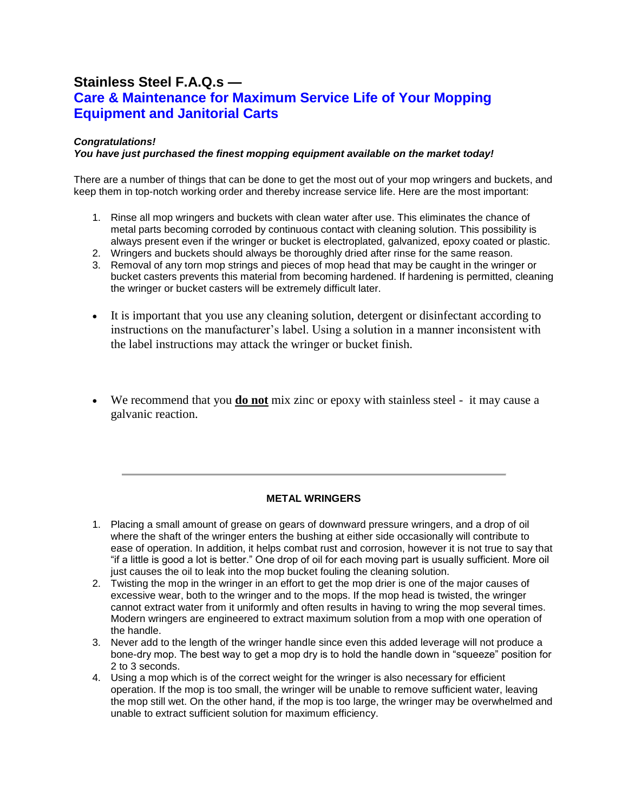# **Stainless Steel F.A.Q.s — Care & Maintenance for Maximum Service Life of Your Mopping Equipment and Janitorial Carts**

## *Congratulations!*

## *You have just purchased the finest mopping equipment available on the market today!*

There are a number of things that can be done to get the most out of your mop wringers and buckets, and keep them in top-notch working order and thereby increase service life. Here are the most important:

- 1. Rinse all mop wringers and buckets with clean water after use. This eliminates the chance of metal parts becoming corroded by continuous contact with cleaning solution. This possibility is always present even if the wringer or bucket is electroplated, galvanized, epoxy coated or plastic.
- 2. Wringers and buckets should always be thoroughly dried after rinse for the same reason.
- 3. Removal of any torn mop strings and pieces of mop head that may be caught in the wringer or bucket casters prevents this material from becoming hardened. If hardening is permitted, cleaning the wringer or bucket casters will be extremely difficult later.
- It is important that you use any cleaning solution, detergent or disinfectant according to instructions on the manufacturer's label. Using a solution in a manner inconsistent with the label instructions may attack the wringer or bucket finish.
- We recommend that you **do not** mix zinc or epoxy with stainless steel it may cause a galvanic reaction.

## **METAL WRINGERS**

- 1. Placing a small amount of grease on gears of downward pressure wringers, and a drop of oil where the shaft of the wringer enters the bushing at either side occasionally will contribute to ease of operation. In addition, it helps combat rust and corrosion, however it is not true to say that "if a little is good a lot is better." One drop of oil for each moving part is usually sufficient. More oil just causes the oil to leak into the mop bucket fouling the cleaning solution.
- 2. Twisting the mop in the wringer in an effort to get the mop drier is one of the major causes of excessive wear, both to the wringer and to the mops. If the mop head is twisted, the wringer cannot extract water from it uniformly and often results in having to wring the mop several times. Modern wringers are engineered to extract maximum solution from a mop with one operation of the handle.
- 3. Never add to the length of the wringer handle since even this added leverage will not produce a bone-dry mop. The best way to get a mop dry is to hold the handle down in "squeeze" position for 2 to 3 seconds.
- 4. Using a mop which is of the correct weight for the wringer is also necessary for efficient operation. If the mop is too small, the wringer will be unable to remove sufficient water, leaving the mop still wet. On the other hand, if the mop is too large, the wringer may be overwhelmed and unable to extract sufficient solution for maximum efficiency.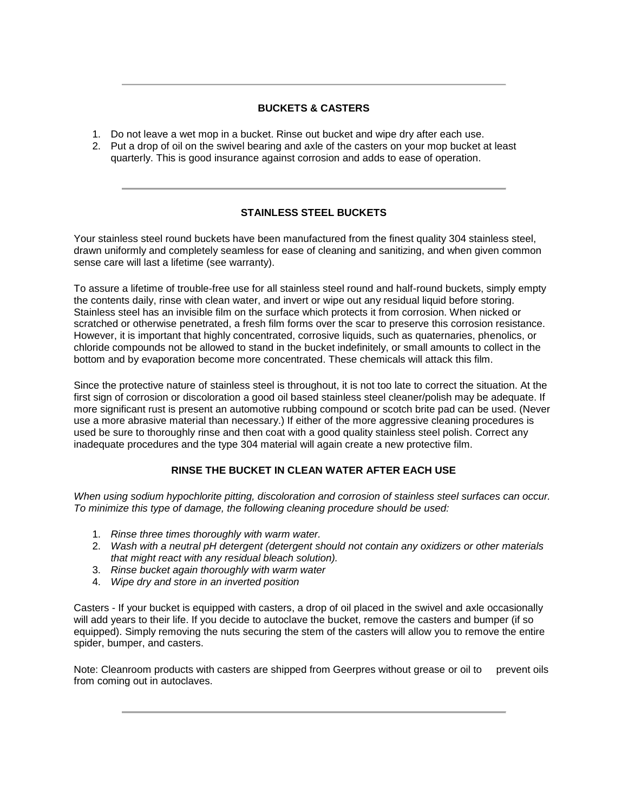### **BUCKETS & CASTERS**

- 1. Do not leave a wet mop in a bucket. Rinse out bucket and wipe dry after each use.
- 2. Put a drop of oil on the swivel bearing and axle of the casters on your mop bucket at least quarterly. This is good insurance against corrosion and adds to ease of operation.

## **STAINLESS STEEL BUCKETS**

Your stainless steel round buckets have been manufactured from the finest quality 304 stainless steel, drawn uniformly and completely seamless for ease of cleaning and sanitizing, and when given common sense care will last a lifetime (see warranty).

To assure a lifetime of trouble-free use for all stainless steel round and half-round buckets, simply empty the contents daily, rinse with clean water, and invert or wipe out any residual liquid before storing. Stainless steel has an invisible film on the surface which protects it from corrosion. When nicked or scratched or otherwise penetrated, a fresh film forms over the scar to preserve this corrosion resistance. However, it is important that highly concentrated, corrosive liquids, such as quaternaries, phenolics, or chloride compounds not be allowed to stand in the bucket indefinitely, or small amounts to collect in the bottom and by evaporation become more concentrated. These chemicals will attack this film.

Since the protective nature of stainless steel is throughout, it is not too late to correct the situation. At the first sign of corrosion or discoloration a good oil based stainless steel cleaner/polish may be adequate. If more significant rust is present an automotive rubbing compound or scotch brite pad can be used. (Never use a more abrasive material than necessary.) If either of the more aggressive cleaning procedures is used be sure to thoroughly rinse and then coat with a good quality stainless steel polish. Correct any inadequate procedures and the type 304 material will again create a new protective film.

## **RINSE THE BUCKET IN CLEAN WATER AFTER EACH USE**

*When using sodium hypochlorite pitting, discoloration and corrosion of stainless steel surfaces can occur. To minimize this type of damage, the following cleaning procedure should be used:*

- 1. *Rinse three times thoroughly with warm water.*
- 2. *Wash with a neutral pH detergent (detergent should not contain any oxidizers or other materials that might react with any residual bleach solution).*
- 3. *Rinse bucket again thoroughly with warm water*
- 4. *Wipe dry and store in an inverted position*

Casters - If your bucket is equipped with casters, a drop of oil placed in the swivel and axle occasionally will add years to their life. If you decide to autoclave the bucket, remove the casters and bumper (if so equipped). Simply removing the nuts securing the stem of the casters will allow you to remove the entire spider, bumper, and casters.

Note: Cleanroom products with casters are shipped from Geerpres without grease or oil to prevent oils from coming out in autoclaves.